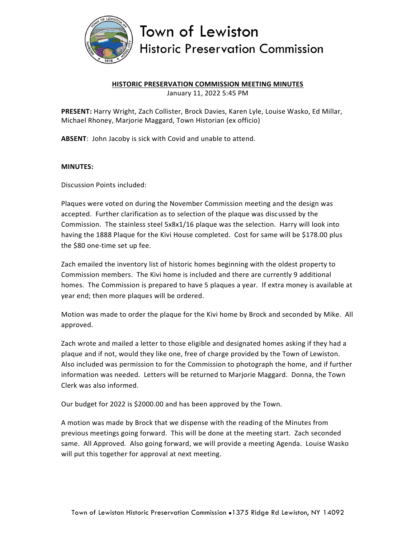

## Town of Lewiston **Historic Preservation Commission**

## **HISTORIC PRESERVATION COMMISSION MEETING MINUTES**

January 11, 2022 5:45 PM

**PRESENT:** Harry Wright, Zach Collister, Brock Davies, Karen Lyle, Louise Wasko, Ed Millar, Michael Rhoney, Marjorie Maggard, Town Historian (ex officio)

**ABSENT**: John Jacoby is sick with Covid and unable to attend.

## **MINUTES:**

Discussion Points included:

Plaques were voted on during the November Commission meeting and the design was accepted. Further clarification as to selection of the plaque was discussed by the Commission. The stainless steel 5x8x1/16 plaque was the selection. Harry will look into having the 1888 Plaque for the Kivi House completed. Cost for same will be \$178.00 plus the \$80 one-time set up fee.

Zach emailed the inventory list of historic homes beginning with the oldest property to Commission members. The Kivi home is included and there are currently 9 additional homes. The Commission is prepared to have 5 plaques a year. If extra money is available at year end; then more plaques will be ordered.

Motion was made to order the plaque for the Kivi home by Brock and seconded by Mike. All approved.

Zach wrote and mailed a letter to those eligible and designated homes asking if they had a plaque and if not, would they like one, free of charge provided by the Town of Lewiston. Also included was permission to for the Commission to photograph the home, and if further information was needed. Letters will be returned to Marjorie Maggard. Donna, the Town Clerk was also informed.

Our budget for 2022 is \$2000.00 and has been approved by the Town.

A motion was made by Brock that we dispense with the reading of the Minutes from previous meetings going forward. This will be done at the meeting start. Zach seconded same. All Approved. Also going forward, we will provide a meeting Agenda. Louise Wasko will put this together for approval at next meeting.